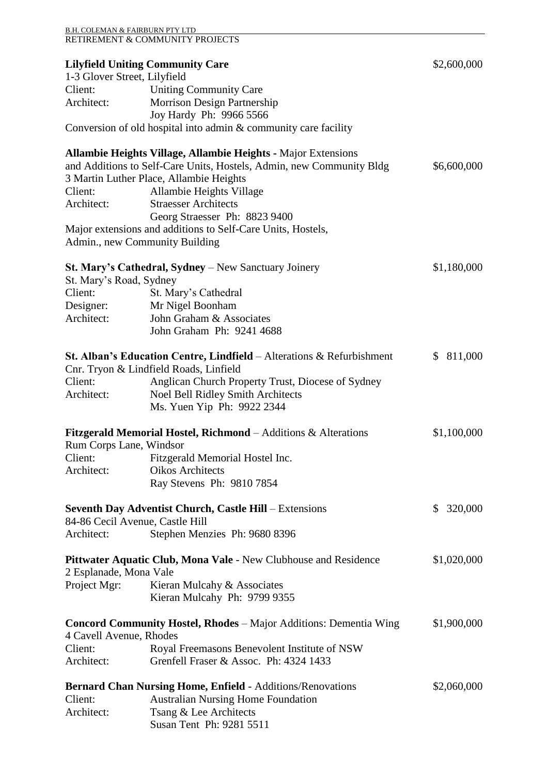| <b>B.H. COLEMAN &amp; FAIRBURN PTY LTD</b> | RETIREMENT & COMMUNITY PROJECTS                                                 |                         |
|--------------------------------------------|---------------------------------------------------------------------------------|-------------------------|
|                                            | <b>Lilyfield Uniting Community Care</b>                                         | \$2,600,000             |
| 1-3 Glover Street, Lilyfield               |                                                                                 |                         |
| Client:                                    | <b>Uniting Community Care</b>                                                   |                         |
| Architect:                                 | Morrison Design Partnership                                                     |                         |
|                                            | Joy Hardy Ph: 9966 5566                                                         |                         |
|                                            | Conversion of old hospital into admin & community care facility                 |                         |
|                                            | <b>Allambie Heights Village, Allambie Heights - Major Extensions</b>            |                         |
|                                            | and Additions to Self-Care Units, Hostels, Admin, new Community Bldg            | \$6,600,000             |
|                                            | 3 Martin Luther Place, Allambie Heights                                         |                         |
| Client:                                    | Allambie Heights Village                                                        |                         |
| Architect:                                 | <b>Straesser Architects</b>                                                     |                         |
|                                            | Georg Straesser Ph: 8823 9400                                                   |                         |
|                                            | Major extensions and additions to Self-Care Units, Hostels,                     |                         |
|                                            | Admin., new Community Building                                                  |                         |
|                                            | St. Mary's Cathedral, Sydney - New Sanctuary Joinery                            | \$1,180,000             |
| St. Mary's Road, Sydney                    |                                                                                 |                         |
| Client:                                    | St. Mary's Cathedral                                                            |                         |
| Designer:                                  | Mr Nigel Boonham                                                                |                         |
| Architect:                                 | John Graham & Associates                                                        |                         |
|                                            | John Graham Ph: 9241 4688                                                       |                         |
|                                            | <b>St. Alban's Education Centre, Lindfield</b> – Alterations $\&$ Refurbishment | \$811,000               |
|                                            | Cnr. Tryon & Lindfield Roads, Linfield                                          |                         |
| Client:                                    | Anglican Church Property Trust, Diocese of Sydney                               |                         |
| Architect:                                 | Noel Bell Ridley Smith Architects                                               |                         |
|                                            | Ms. Yuen Yip Ph: 9922 2344                                                      |                         |
|                                            | <b>Fitzgerald Memorial Hostel, Richmond</b> – Additions $\&$ Alterations        | \$1,100,000             |
| Rum Corps Lane, Windsor                    |                                                                                 |                         |
| Client:                                    | Fitzgerald Memorial Hostel Inc.                                                 |                         |
| Architect:                                 | <b>Oikos Architects</b>                                                         |                         |
|                                            | Ray Stevens Ph: 9810 7854                                                       |                         |
|                                            | <b>Seventh Day Adventist Church, Castle Hill – Extensions</b>                   | 320,000<br>$\mathbb{S}$ |
|                                            | 84-86 Cecil Avenue, Castle Hill                                                 |                         |
| Architect:                                 | Stephen Menzies Ph: 9680 8396                                                   |                         |
|                                            | Pittwater Aquatic Club, Mona Vale - New Clubhouse and Residence                 | \$1,020,000             |
| 2 Esplanade, Mona Vale                     |                                                                                 |                         |
| Project Mgr:                               | Kieran Mulcahy & Associates                                                     |                         |
|                                            | Kieran Mulcahy Ph: 9799 9355                                                    |                         |
|                                            | <b>Concord Community Hostel, Rhodes</b> – Major Additions: Dementia Wing        | \$1,900,000             |
| 4 Cavell Avenue, Rhodes                    |                                                                                 |                         |
| Client:                                    | Royal Freemasons Benevolent Institute of NSW                                    |                         |
| Architect:                                 | Grenfell Fraser & Assoc. Ph: 4324 1433                                          |                         |
|                                            | <b>Bernard Chan Nursing Home, Enfield - Additions/Renovations</b>               | \$2,060,000             |
| Client:                                    | <b>Australian Nursing Home Foundation</b>                                       |                         |
| Architect:                                 | Tsang & Lee Architects                                                          |                         |
|                                            | Susan Tent Ph: 9281 5511                                                        |                         |